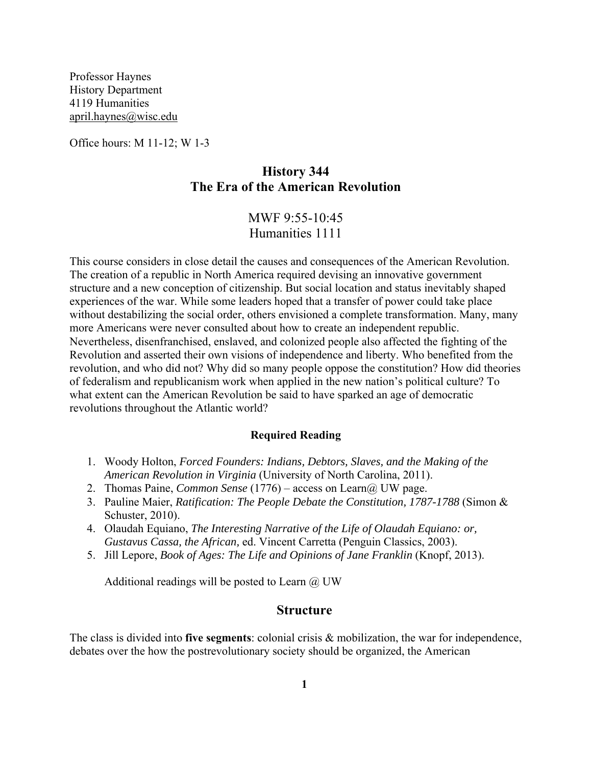Professor Haynes History Department 4119 Humanities april.haynes@wisc.edu

Office hours: M 11-12; W 1-3

# **History 344 The Era of the American Revolution**

MWF 9:55-10:45 Humanities 1111

This course considers in close detail the causes and consequences of the American Revolution. The creation of a republic in North America required devising an innovative government structure and a new conception of citizenship. But social location and status inevitably shaped experiences of the war. While some leaders hoped that a transfer of power could take place without destabilizing the social order, others envisioned a complete transformation. Many, many more Americans were never consulted about how to create an independent republic. Nevertheless, disenfranchised, enslaved, and colonized people also affected the fighting of the Revolution and asserted their own visions of independence and liberty. Who benefited from the revolution, and who did not? Why did so many people oppose the constitution? How did theories of federalism and republicanism work when applied in the new nation's political culture? To what extent can the American Revolution be said to have sparked an age of democratic revolutions throughout the Atlantic world?

#### **Required Reading**

- 1. Woody Holton, *Forced Founders: Indians, Debtors, Slaves, and the Making of the American Revolution in Virginia* (University of North Carolina, 2011).
- 2. Thomas Paine, *Common Sense* (1776) access on Learn@ UW page.
- 3. Pauline Maier, *Ratification: The People Debate the Constitution, 1787-1788* (Simon & Schuster, 2010).
- 4. Olaudah Equiano, *The Interesting Narrative of the Life of Olaudah Equiano: or, Gustavus Cassa, the African,* ed. Vincent Carretta (Penguin Classics, 2003).
- 5. Jill Lepore, *Book of Ages: The Life and Opinions of Jane Franklin* (Knopf, 2013).

Additional readings will be posted to Learn  $\omega$  UW

#### **Structure**

The class is divided into **five segments**: colonial crisis & mobilization, the war for independence, debates over the how the postrevolutionary society should be organized, the American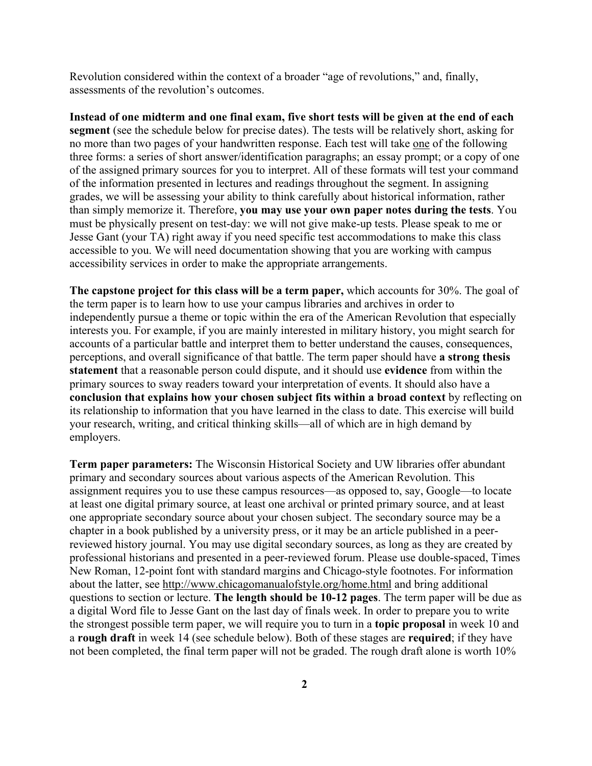Revolution considered within the context of a broader "age of revolutions," and, finally, assessments of the revolution's outcomes.

**Instead of one midterm and one final exam, five short tests will be given at the end of each segment** (see the schedule below for precise dates). The tests will be relatively short, asking for no more than two pages of your handwritten response. Each test will take one of the following three forms: a series of short answer/identification paragraphs; an essay prompt; or a copy of one of the assigned primary sources for you to interpret. All of these formats will test your command of the information presented in lectures and readings throughout the segment. In assigning grades, we will be assessing your ability to think carefully about historical information, rather than simply memorize it. Therefore, **you may use your own paper notes during the tests**. You must be physically present on test-day: we will not give make-up tests. Please speak to me or Jesse Gant (your TA) right away if you need specific test accommodations to make this class accessible to you. We will need documentation showing that you are working with campus accessibility services in order to make the appropriate arrangements.

**The capstone project for this class will be a term paper,** which accounts for 30%. The goal of the term paper is to learn how to use your campus libraries and archives in order to independently pursue a theme or topic within the era of the American Revolution that especially interests you. For example, if you are mainly interested in military history, you might search for accounts of a particular battle and interpret them to better understand the causes, consequences, perceptions, and overall significance of that battle. The term paper should have **a strong thesis statement** that a reasonable person could dispute, and it should use **evidence** from within the primary sources to sway readers toward your interpretation of events. It should also have a **conclusion that explains how your chosen subject fits within a broad context** by reflecting on its relationship to information that you have learned in the class to date. This exercise will build your research, writing, and critical thinking skills—all of which are in high demand by employers.

**Term paper parameters:** The Wisconsin Historical Society and UW libraries offer abundant primary and secondary sources about various aspects of the American Revolution. This assignment requires you to use these campus resources—as opposed to, say, Google—to locate at least one digital primary source, at least one archival or printed primary source, and at least one appropriate secondary source about your chosen subject. The secondary source may be a chapter in a book published by a university press, or it may be an article published in a peerreviewed history journal. You may use digital secondary sources, as long as they are created by professional historians and presented in a peer-reviewed forum. Please use double-spaced, Times New Roman, 12-point font with standard margins and Chicago-style footnotes. For information about the latter, see http://www.chicagomanualofstyle.org/home.html and bring additional questions to section or lecture. **The length should be 10-12 pages**. The term paper will be due as a digital Word file to Jesse Gant on the last day of finals week. In order to prepare you to write the strongest possible term paper, we will require you to turn in a **topic proposal** in week 10 and a **rough draft** in week 14 (see schedule below). Both of these stages are **required**; if they have not been completed, the final term paper will not be graded. The rough draft alone is worth 10%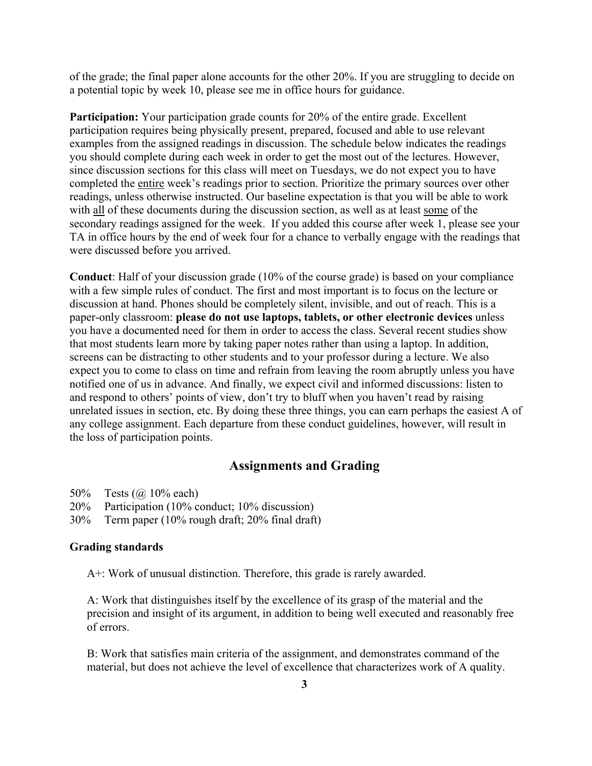of the grade; the final paper alone accounts for the other 20%. If you are struggling to decide on a potential topic by week 10, please see me in office hours for guidance.

**Participation:** Your participation grade counts for 20% of the entire grade. Excellent participation requires being physically present, prepared, focused and able to use relevant examples from the assigned readings in discussion. The schedule below indicates the readings you should complete during each week in order to get the most out of the lectures. However, since discussion sections for this class will meet on Tuesdays, we do not expect you to have completed the entire week's readings prior to section. Prioritize the primary sources over other readings, unless otherwise instructed. Our baseline expectation is that you will be able to work with all of these documents during the discussion section, as well as at least some of the secondary readings assigned for the week. If you added this course after week 1, please see your TA in office hours by the end of week four for a chance to verbally engage with the readings that were discussed before you arrived.

**Conduct**: Half of your discussion grade (10% of the course grade) is based on your compliance with a few simple rules of conduct. The first and most important is to focus on the lecture or discussion at hand. Phones should be completely silent, invisible, and out of reach. This is a paper-only classroom: **please do not use laptops, tablets, or other electronic devices** unless you have a documented need for them in order to access the class. Several recent studies show that most students learn more by taking paper notes rather than using a laptop. In addition, screens can be distracting to other students and to your professor during a lecture. We also expect you to come to class on time and refrain from leaving the room abruptly unless you have notified one of us in advance. And finally, we expect civil and informed discussions: listen to and respond to others' points of view, don't try to bluff when you haven't read by raising unrelated issues in section, etc. By doing these three things, you can earn perhaps the easiest A of any college assignment. Each departure from these conduct guidelines, however, will result in the loss of participation points.

### **Assignments and Grading**

- 50% Tests (@ 10% each)
- 20% Participation (10% conduct; 10% discussion)
- 30% Term paper (10% rough draft; 20% final draft)

#### **Grading standards**

A+: Work of unusual distinction. Therefore, this grade is rarely awarded.

A: Work that distinguishes itself by the excellence of its grasp of the material and the precision and insight of its argument, in addition to being well executed and reasonably free of errors.

B: Work that satisfies main criteria of the assignment, and demonstrates command of the material, but does not achieve the level of excellence that characterizes work of A quality.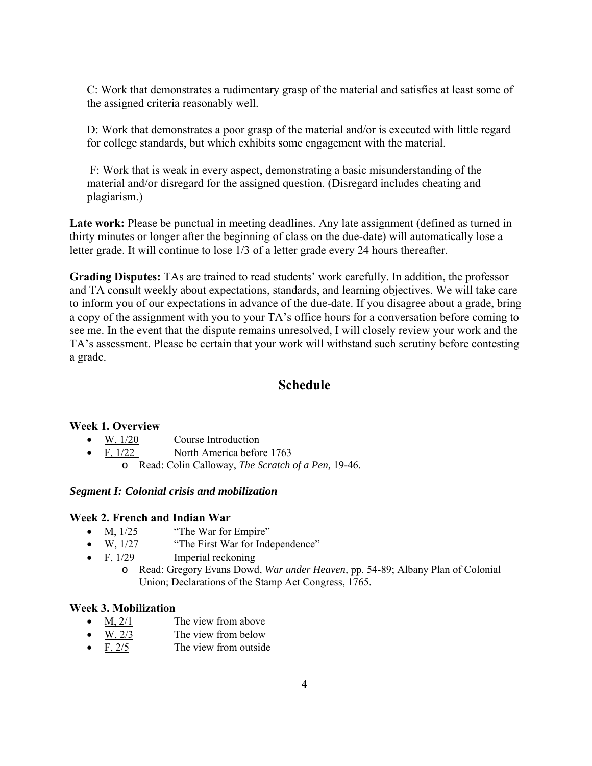C: Work that demonstrates a rudimentary grasp of the material and satisfies at least some of the assigned criteria reasonably well.

D: Work that demonstrates a poor grasp of the material and/or is executed with little regard for college standards, but which exhibits some engagement with the material.

 F: Work that is weak in every aspect, demonstrating a basic misunderstanding of the material and/or disregard for the assigned question. (Disregard includes cheating and plagiarism.)

Late work: Please be punctual in meeting deadlines. Any late assignment (defined as turned in thirty minutes or longer after the beginning of class on the due-date) will automatically lose a letter grade. It will continue to lose 1/3 of a letter grade every 24 hours thereafter.

**Grading Disputes:** TAs are trained to read students' work carefully. In addition, the professor and TA consult weekly about expectations, standards, and learning objectives. We will take care to inform you of our expectations in advance of the due-date. If you disagree about a grade, bring a copy of the assignment with you to your TA's office hours for a conversation before coming to see me. In the event that the dispute remains unresolved, I will closely review your work and the TA's assessment. Please be certain that your work will withstand such scrutiny before contesting a grade.

# **Schedule**

### **Week 1. Overview**

- W. 1/20 Course Introduction
- F,  $1/22$  North America before 1763
	- o Read: Colin Calloway, *The Scratch of a Pen,* 19-46.

### *Segment I: Colonial crisis and mobilization*

#### **Week 2. French and Indian War**

- $M$ ,  $1/25$  "The War for Empire"
- W,  $1/27$  "The First War for Independence"
- $\bullet$  F,  $1/29$  Imperial reckoning
	- o Read: Gregory Evans Dowd, *War under Heaven,* pp. 54-89; Albany Plan of Colonial Union; Declarations of the Stamp Act Congress, 1765.

### **Week 3. Mobilization**

- $M$ , 2/1 The view from above
- $\bullet$  W, 2/3 The view from below
- $\bullet$  F, 2/5 The view from outside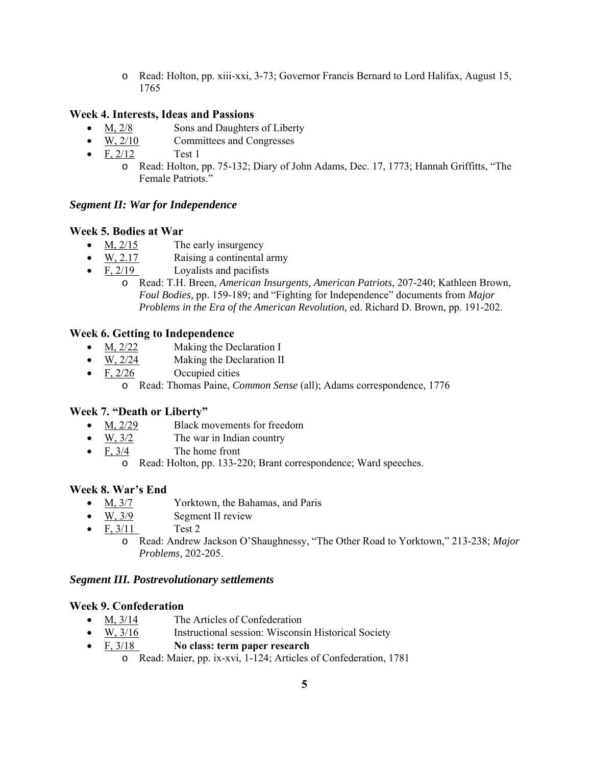o Read: Holton, pp. xiii-xxi, 3-73; Governor Francis Bernard to Lord Halifax, August 15, 1765

### **Week 4. Interests, Ideas and Passions**

- M, 2/8 Sons and Daughters of Liberty
- W, 2/10 Committees and Congresses
- $F, 2/12$  Test 1
	- o Read: Holton, pp. 75-132; Diary of John Adams, Dec. 17, 1773; Hannah Griffitts, "The Female Patriots."

### *Segment II: War for Independence*

### **Week 5. Bodies at War**

- $\bullet$  M,  $\frac{2}{15}$  The early insurgency
- W, 2.17 Raising a continental army
- $\bullet$  F, 2/19 Loyalists and pacifists
	- o Read: T.H. Breen, *American Insurgents, American Patriots,* 207-240; Kathleen Brown, *Foul Bodies,* pp. 159-189; and "Fighting for Independence" documents from *Major Problems in the Era of the American Revolution,* ed. Richard D. Brown, pp. 191-202.

### **Week 6. Getting to Independence**

- M, 2/22 Making the Declaration I
- W, 2/24 Making the Declaration II
- $\bullet$  F, 2/26 Occupied cities
	- o Read: Thomas Paine, *Common Sense* (all); Adams correspondence, 1776

## **Week 7. "Death or Liberty"**

- M, 2/29 Black movements for freedom
- $\bullet$  W,  $3/2$  The war in Indian country
- $F, 3/4$  The home front
	- o Read: Holton, pp. 133-220; Brant correspondence; Ward speeches.

### **Week 8. War's End**

- M, 3/7 Yorktown, the Bahamas, and Paris
- $\bullet$  W,  $3/9$  Segment II review
- $F. 3/11$  Test 2
	- o Read: Andrew Jackson O'Shaughnessy, "The Other Road to Yorktown," 213-238; *Major Problems,* 202-205.

### *Segment III. Postrevolutionary settlements*

### **Week 9. Confederation**

- M,  $3/14$  The Articles of Confederation
- $\bullet$  W,  $\frac{3}{16}$  Instructional session: Wisconsin Historical Society
- F, 3/18 **No class: term paper research**
	- o Read: Maier, pp. ix-xvi, 1-124; Articles of Confederation, 1781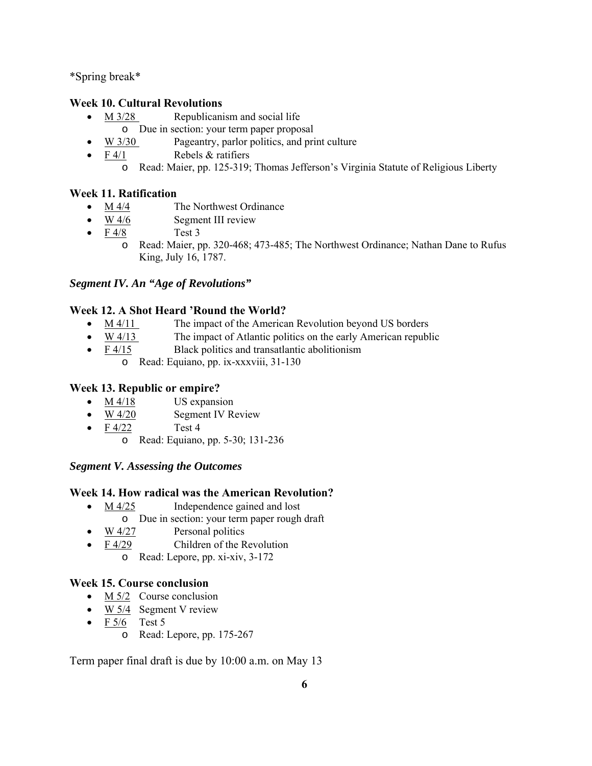\*Spring break\*

## **Week 10. Cultural Revolutions**

- $M_3/28$  Republicanism and social life
	- o Due in section: your term paper proposal
- W 3/30 Pageantry, parlor politics, and print culture
- $F \frac{4}{1}$  Rebels & ratifiers
	- o Read: Maier, pp. 125-319; Thomas Jefferson's Virginia Statute of Religious Liberty

## **Week 11. Ratification**

- M 4/4 The Northwest Ordinance
- $\bullet$  W 4/6 Segment III review
- $F \frac{4}{8}$  Test 3
	- o Read: Maier, pp. 320-468; 473-485; The Northwest Ordinance; Nathan Dane to Rufus King, July 16, 1787.

# *Segment IV. An "Age of Revolutions"*

# **Week 12. A Shot Heard 'Round the World?**

- $M = M \frac{4}{11}$  The impact of the American Revolution beyond US borders
- $\bullet$  W 4/13 The impact of Atlantic politics on the early American republic
- F 4/15 Black politics and transatlantic abolitionism
	- o Read: Equiano, pp. ix-xxxviii, 31-130

## **Week 13. Republic or empire?**

- $\bullet$  M 4/18 US expansion
- $\bullet$  W 4/20 Segment IV Review
- $\bullet$  F 4/22 Test 4
	- o Read: Equiano, pp. 5-30; 131-236

# *Segment V. Assessing the Outcomes*

## **Week 14. How radical was the American Revolution?**

- M 4/25 **Independence gained and lost** 
	- o Due in section: your term paper rough draft
- $\bullet$  W 4/27 Personal politics
	- F 4/29 Children of the Revolution
		- o Read: Lepore, pp. xi-xiv, 3-172

# **Week 15. Course conclusion**

- $\bullet$  M 5/2 Course conclusion
- $\bullet$  W 5/4 Segment V review
- $\bullet$  F 5/6 Test 5
	- o Read: Lepore, pp. 175-267

Term paper final draft is due by 10:00 a.m. on May 13